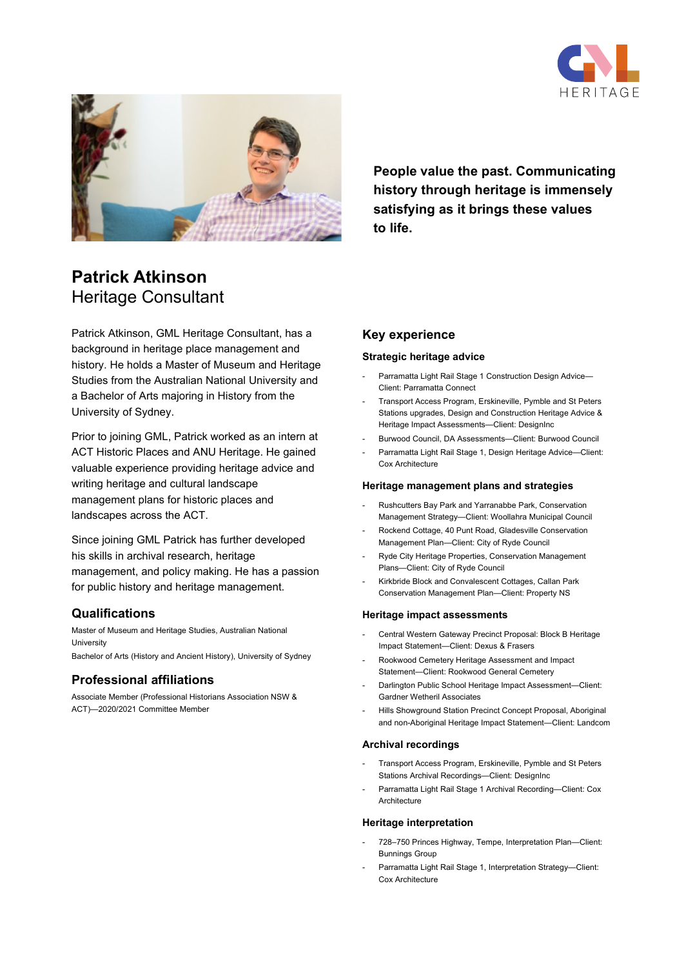



**People value the past. Communicating history through heritage is immensely satisfying as it brings these values to life.**

# **Patrick Atkinson** Heritage Consultant

Patrick Atkinson, GML Heritage Consultant, has a background in heritage place management and history. He holds a Master of Museum and Heritage Studies from the Australian National University and a Bachelor of Arts majoring in History from the University of Sydney.

Prior to joining GML, Patrick worked as an intern at ACT Historic Places and ANU Heritage. He gained valuable experience providing heritage advice and writing heritage and cultural landscape management plans for historic places and landscapes across the ACT.

Since joining GML Patrick has further developed his skills in archival research, heritage management, and policy making. He has a passion for public history and heritage management.

## **Qualifications**

Master of Museum and Heritage Studies, Australian National University Bachelor of Arts (History and Ancient History), University of Sydney

## **Professional affiliations**

Associate Member (Professional Historians Association NSW & ACT)—2020/2021 Committee Member

## **Key experience**

#### **Strategic heritage advice**

- Parramatta Light Rail Stage 1 Construction Design Advice-Client: Parramatta Connect
- Transport Access Program, Erskineville, Pymble and St Peters Stations upgrades, Design and Construction Heritage Advice & Heritage Impact Assessments—Client: DesignInc
- Burwood Council, DA Assessments-Client: Burwood Council
- Parramatta Light Rail Stage 1, Design Heritage Advice-Client: Cox Architecture

#### **Heritage management plans and strategies**

- Rushcutters Bay Park and Yarranabbe Park, Conservation Management Strategy—Client: Woollahra Municipal Council
- Rockend Cottage, 40 Punt Road, Gladesville Conservation Management Plan—Client: City of Ryde Council
- Ryde City Heritage Properties, Conservation Management Plans—Client: City of Ryde Council
- Kirkbride Block and Convalescent Cottages, Callan Park Conservation Management Plan—Client: Property NS

#### **Heritage impact assessments**

- Central Western Gateway Precinct Proposal: Block B Heritage Impact Statement—Client: Dexus & Frasers
- Rookwood Cemetery Heritage Assessment and Impact Statement—Client: Rookwood General Cemetery
- Darlington Public School Heritage Impact Assessment—Client: Gardner Wetheril Associates
- Hills Showground Station Precinct Concept Proposal, Aboriginal and non-Aboriginal Heritage Impact Statement—Client: Landcom

#### **Archival recordings**

- Transport Access Program, Erskineville, Pymble and St Peters Stations Archival Recordings—Client: DesignInc
- Parramatta Light Rail Stage 1 Archival Recording-Client: Cox Architecture

#### **Heritage interpretation**

- 728–750 Princes Highway, Tempe, Interpretation Plan–Client: Bunnings Group
- Parramatta Light Rail Stage 1, Interpretation Strategy-Client: Cox Architecture